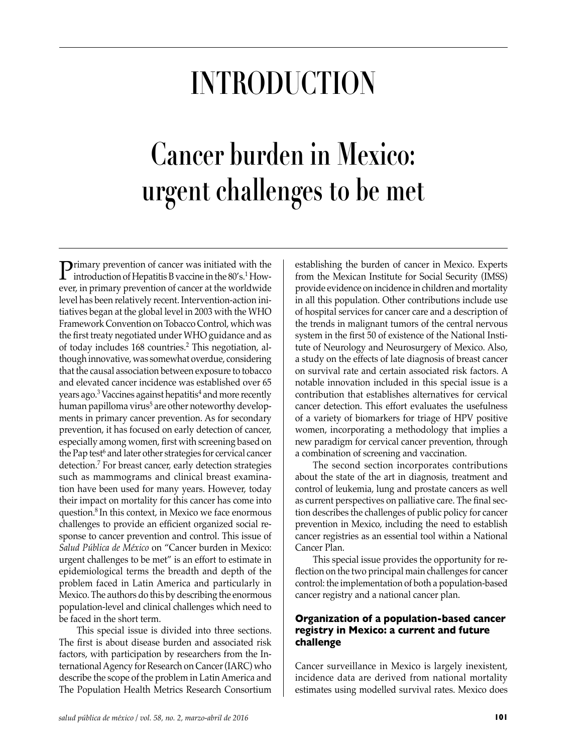# **Introduction**

# **Cancer burden in Mexico: urgent challenges to be met**

**P**rimary prevention of cancer was initiated with the introduction of Hepatitis B vaccine in the 80's.<sup>1</sup> However, in primary prevention of cancer at the worldwide level has been relatively recent. Intervention-action initiatives began at the global level in 2003 with the WHO Framework Convention on Tobacco Control, which was the first treaty negotiated under WHO guidance and as of today includes 168 countries.<sup>2</sup> This negotiation, although innovative, was somewhat overdue, considering that the causal association between exposure to tobacco and elevated cancer incidence was established over 65 years ago.<sup>3</sup> Vaccines against hepatitis<sup>4</sup> and more recently human papilloma virus<sup>5</sup> are other noteworthy developments in primary cancer prevention. As for secondary prevention, it has focused on early detection of cancer, especially among women, first with screening based on the Pap test<sup>6</sup> and later other strategies for cervical cancer detection.7 For breast cancer, early detection strategies such as mammograms and clinical breast examination have been used for many years. However, today their impact on mortality for this cancer has come into question.8 In this context, in Mexico we face enormous challenges to provide an efficient organized social response to cancer prevention and control. This issue of *Salud Pública de México* on "Cancer burden in Mexico: urgent challenges to be met" is an effort to estimate in epidemiological terms the breadth and depth of the problem faced in Latin America and particularly in Mexico. The authors do this by describing the enormous population-level and clinical challenges which need to be faced in the short term.

This special issue is divided into three sections. The first is about disease burden and associated risk factors, with participation by researchers from the International Agency for Research on Cancer (IARC) who describe the scope of the problem in Latin America and The Population Health Metrics Research Consortium

establishing the burden of cancer in Mexico. Experts from the Mexican Institute for Social Security (IMSS) provide evidence on incidence in children and mortality in all this population. Other contributions include use of hospital services for cancer care and a description of the trends in malignant tumors of the central nervous system in the first 50 of existence of the National Institute of Neurology and Neurosurgery of Mexico. Also, a study on the effects of late diagnosis of breast cancer on survival rate and certain associated risk factors. A notable innovation included in this special issue is a contribution that establishes alternatives for cervical cancer detection. This effort evaluates the usefulness of a variety of biomarkers for triage of HPV positive women, incorporating a methodology that implies a new paradigm for cervical cancer prevention, through a combination of screening and vaccination.

The second section incorporates contributions about the state of the art in diagnosis, treatment and control of leukemia, lung and prostate cancers as well as current perspectives on palliative care. The final section describes the challenges of public policy for cancer prevention in Mexico, including the need to establish cancer registries as an essential tool within a National Cancer Plan.

This special issue provides the opportunity for reflection on the two principal main challenges for cancer control: the implementation of both a population-based cancer registry and a national cancer plan.

### **Organization of a population-based cancer registry in Mexico: a current and future challenge**

Cancer surveillance in Mexico is largely inexistent, incidence data are derived from national mortality estimates using modelled survival rates. Mexico does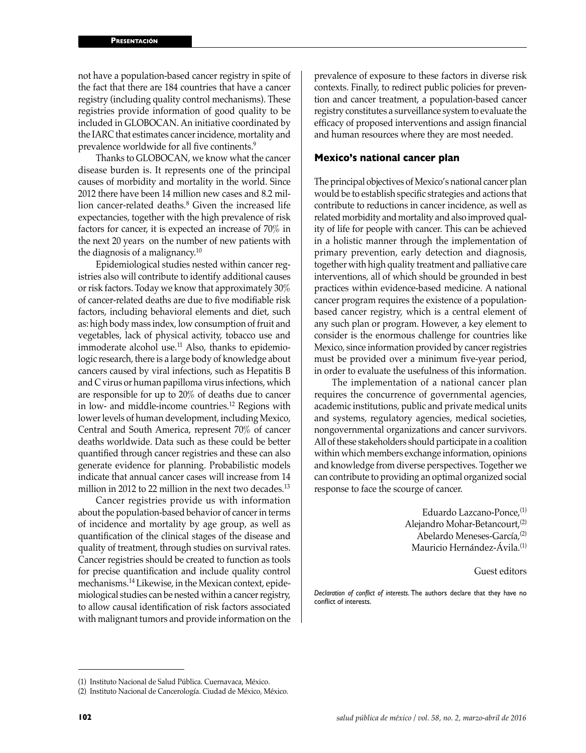not have a population-based cancer registry in spite of the fact that there are 184 countries that have a cancer registry (including quality control mechanisms). These registries provide information of good quality to be included in GLOBOCAN. An initiative coordinated by the IARC that estimates cancer incidence, mortality and prevalence worldwide for all five continents.<sup>9</sup>

Thanks to GLOBOCAN, we know what the cancer disease burden is. It represents one of the principal causes of morbidity and mortality in the world. Since 2012 there have been 14 million new cases and 8.2 million cancer-related deaths.<sup>8</sup> Given the increased life expectancies, together with the high prevalence of risk factors for cancer, it is expected an increase of 70% in the next 20 years on the number of new patients with the diagnosis of a malignancy.10

Epidemiological studies nested within cancer registries also will contribute to identify additional causes or risk factors. Today we know that approximately 30% of cancer-related deaths are due to five modifiable risk factors, including behavioral elements and diet, such as: high body mass index, low consumption of fruit and vegetables, lack of physical activity, tobacco use and immoderate alcohol use.<sup>11</sup> Also, thanks to epidemiologic research, there is a large body of knowledge about cancers caused by viral infections, such as Hepatitis B and C virus or human papilloma virus infections, which are responsible for up to 20% of deaths due to cancer in low- and middle-income countries.12 Regions with lower levels of human development, including Mexico, Central and South America, represent 70% of cancer deaths worldwide. Data such as these could be better quantified through cancer registries and these can also generate evidence for planning. Probabilistic models indicate that annual cancer cases will increase from 14 million in 2012 to 22 million in the next two decades.<sup>13</sup>

Cancer registries provide us with information about the population-based behavior of cancer in terms of incidence and mortality by age group, as well as quantification of the clinical stages of the disease and quality of treatment, through studies on survival rates. Cancer registries should be created to function as tools for precise quantification and include quality control mechanisms.14 Likewise, in the Mexican context, epidemiological studies can be nested within a cancer registry, to allow causal identification of risk factors associated with malignant tumors and provide information on the prevalence of exposure to these factors in diverse risk contexts. Finally, to redirect public policies for prevention and cancer treatment, a population-based cancer registry constitutes a surveillance system to evaluate the efficacy of proposed interventions and assign financial and human resources where they are most needed.

#### **Mexico's national cancer plan**

The principal objectives of Mexico's national cancer plan would be to establish specific strategies and actions that contribute to reductions in cancer incidence, as well as related morbidity and mortality and also improved quality of life for people with cancer. This can be achieved in a holistic manner through the implementation of primary prevention, early detection and diagnosis, together with high quality treatment and palliative care interventions, all of which should be grounded in best practices within evidence-based medicine. A national cancer program requires the existence of a populationbased cancer registry, which is a central element of any such plan or program. However, a key element to consider is the enormous challenge for countries like Mexico, since information provided by cancer registries must be provided over a minimum five-year period, in order to evaluate the usefulness of this information.

The implementation of a national cancer plan requires the concurrence of governmental agencies, academic institutions, public and private medical units and systems, regulatory agencies, medical societies, nongovernmental organizations and cancer survivors. All of these stakeholders should participate in a coalition within which members exchange information, opinions and knowledge from diverse perspectives. Together we can contribute to providing an optimal organized social response to face the scourge of cancer.

> Eduardo Lazcano-Ponce,(1) Alejandro Mohar-Betancourt.<sup>(2)</sup> Abelardo Meneses-García,(2) Mauricio Hernández-Ávila.(1)

> > Guest editors

*Declaration of conflict of interests*. The authors declare that they have no conflict of interests.

<sup>(1)</sup> Instituto Nacional de Salud Pública. Cuernavaca, México.

<sup>(2)</sup> Instituto Nacional de Cancerología. Ciudad de México, México.